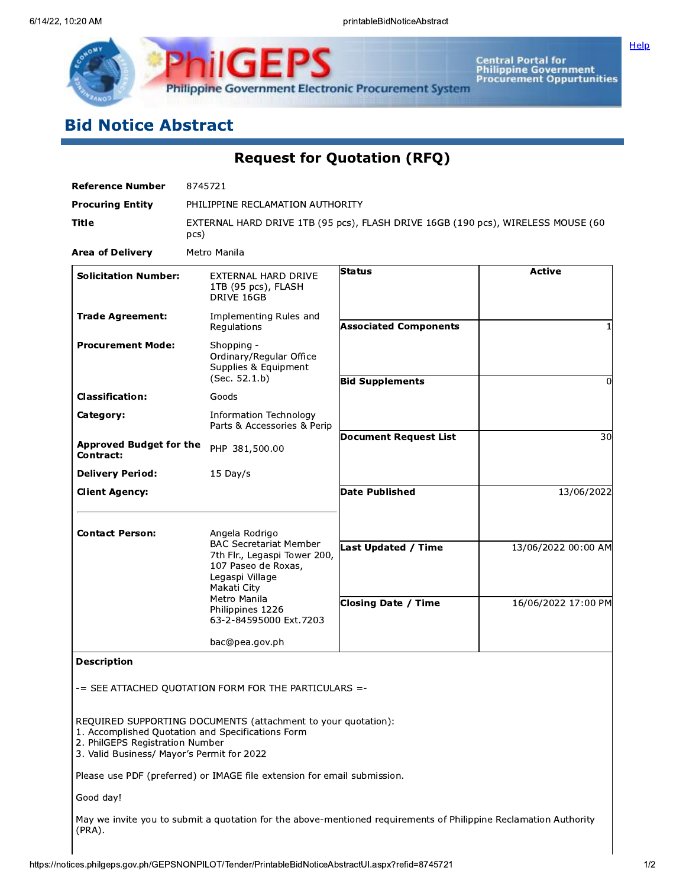

Central Portal for<br>Philippine Government<br>Procurement Oppurtunities

# **Bid Notice Abstract**

| <b>Reference Number</b>                                                       | 8745721                                                                                                                                                  |                                                                                                                  |                     |
|-------------------------------------------------------------------------------|----------------------------------------------------------------------------------------------------------------------------------------------------------|------------------------------------------------------------------------------------------------------------------|---------------------|
| <b>Procuring Entity</b>                                                       | PHILIPPINE RECLAMATION AUTHORITY                                                                                                                         |                                                                                                                  |                     |
| Title                                                                         | pcs)                                                                                                                                                     | EXTERNAL HARD DRIVE 1TB (95 pcs), FLASH DRIVE 16GB (190 pcs), WIRELESS MOUSE (60                                 |                     |
| <b>Area of Delivery</b>                                                       | Metro Manila                                                                                                                                             |                                                                                                                  |                     |
| <b>Solicitation Number:</b>                                                   | EXTERNAL HARD DRIVE<br>1TB (95 pcs), FLASH<br>DRIVE 16GB                                                                                                 | <b>Status</b>                                                                                                    | <b>Active</b>       |
| <b>Trade Agreement:</b>                                                       | Implementing Rules and<br>Regulations                                                                                                                    | <b>Associated Components</b>                                                                                     |                     |
| <b>Procurement Mode:</b>                                                      | Shopping -<br>Ordinary/Regular Office<br>Supplies & Equipment<br>(Sec. 52.1.b)                                                                           | <b>Bid Supplements</b>                                                                                           | $\Omega$            |
| <b>Classification:</b>                                                        | Goods                                                                                                                                                    |                                                                                                                  |                     |
| Category:                                                                     | <b>Information Technology</b><br>Parts & Accessories & Perip                                                                                             |                                                                                                                  |                     |
| <b>Approved Budget for the</b><br>Contract:                                   | PHP 381,500.00                                                                                                                                           | <b>Document Request List</b>                                                                                     | 30                  |
| <b>Delivery Period:</b>                                                       | $15$ Day/s                                                                                                                                               |                                                                                                                  |                     |
| <b>Client Agency:</b>                                                         |                                                                                                                                                          | <b>Date Published</b>                                                                                            | 13/06/2022          |
| <b>Contact Person:</b>                                                        | Angela Rodrigo<br><b>BAC Secretariat Member</b><br>7th Flr., Legaspi Tower 200,<br>107 Paseo de Roxas,<br>Legaspi Village<br>Makati City<br>Metro Manila | Last Updated / Time                                                                                              | 13/06/2022 00:00 AM |
|                                                                               | Philippines 1226<br>63-2-84595000 Ext.7203                                                                                                               | <b>Closing Date / Time</b>                                                                                       | 16/06/2022 17:00 PM |
|                                                                               | bac@pea.gov.ph                                                                                                                                           |                                                                                                                  |                     |
| <b>Description</b>                                                            | -= SEE ATTACHED QUOTATION FORM FOR THE PARTICULARS =-                                                                                                    |                                                                                                                  |                     |
| 2. PhilGEPS Registration Number<br>3. Valid Business/ Mayor's Permit for 2022 | REQUIRED SUPPORTING DOCUMENTS (attachment to your quotation):<br>1. Accomplished Quotation and Specifications Form                                       |                                                                                                                  |                     |
|                                                                               | Please use PDF (preferred) or IMAGE file extension for email submission.                                                                                 |                                                                                                                  |                     |
| Good day!                                                                     |                                                                                                                                                          |                                                                                                                  |                     |
| (PRA).                                                                        |                                                                                                                                                          | May we invite you to submit a quotation for the above-mentioned requirements of Philippine Reclamation Authority |                     |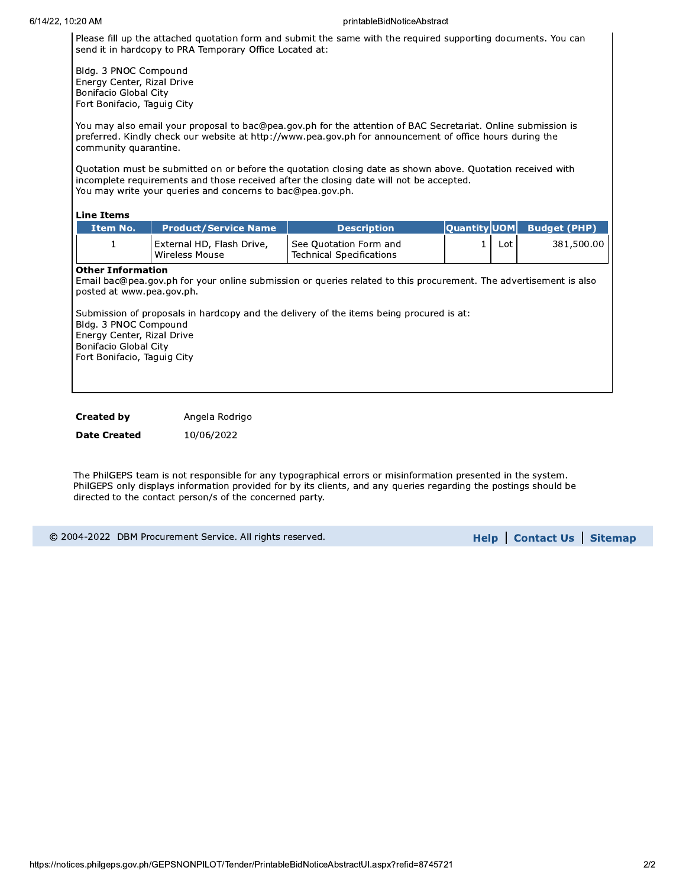#### printableBidNoticeAbstract

Please fill up the attached quotation form and submit the same with the required supporting documents. You can send it in hardcopy to PRA Temporary Office Located at:

Bldg. 3 PNOC Compound Energy Center, Rizal Drive Bonifacio Global City Fort Bonifacio, Taguig City

You may also email your proposal to bac@pea.gov.ph for the attention of BAC Secretariat. Online submission is preferred. Kindly check our website at http://www.pea.gov.ph for announcement of office hours during the community quarantine.

Ouotation must be submitted on or before the quotation closing date as shown above. Quotation received with incomplete requirements and those received after the closing date will not be accepted. You may write your queries and concerns to bac@pea.gov.ph.

#### **Line Items**

| Item No. | <b>Product/Service Name</b>                 | <b>Description</b>                                   |     |            |
|----------|---------------------------------------------|------------------------------------------------------|-----|------------|
| <b>.</b> | External HD, Flash Drive,<br>Wireless Mouse | l See Ouotation Form and<br>Technical Specifications | Lot | 381,500.00 |

### **Other Information**

Email bac@pea.gov.ph for your online submission or queries related to this procurement. The advertisement is also posted at www.pea.gov.ph.

Submission of proposals in hardcopy and the delivery of the items being procured is at: Bldg. 3 PNOC Compound Energy Center, Rizal Drive **Bonifacio Global City** Fort Bonifacio, Taguig City

**Created by** Angela Rodrigo

**Date Created** 10/06/2022

The PhilGEPS team is not responsible for any typographical errors or misinformation presented in the system. PhilGEPS only displays information provided for by its clients, and any queries regarding the postings should be directed to the contact person/s of the concerned party.

© 2004-2022 DBM Procurement Service. All rights reserved.

**Help | Contact Us | Sitemap**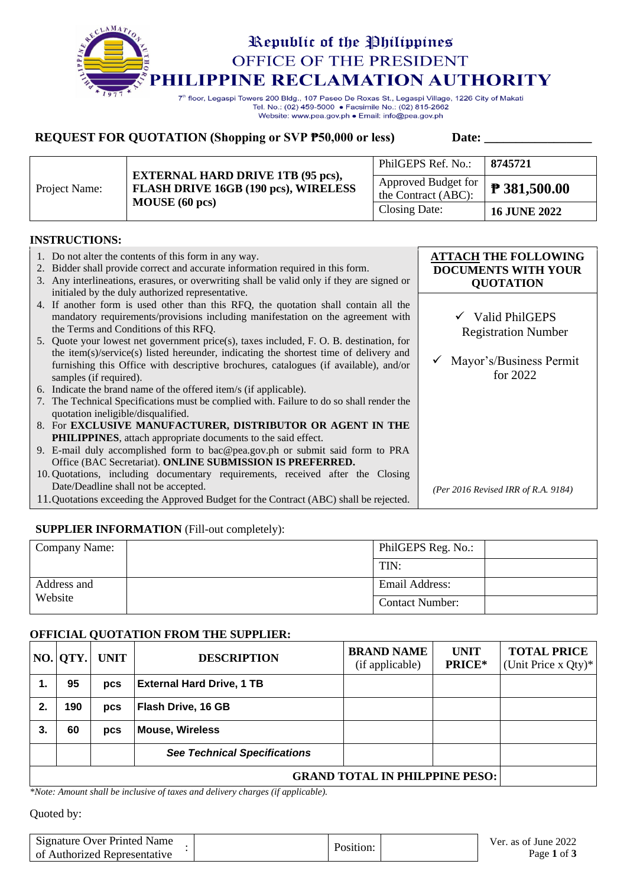

Tel. No.: (02) 459-5000 · Facsimile No.: (02) 815-2662 Website: www.pea.gov.ph . Email: info@pea.gov.ph

# **REQUEST FOR QUOTATION (Shopping or SVP**  $\overline{P}$ **50,000 or less)** Date: \_\_\_\_\_\_\_\_\_\_\_

| Project Name: | <b>EXTERNAL HARD DRIVE 1TB (95 pcs),</b>                      | 8745721<br>PhilGEPS Ref. No.:                                                 |                     |
|---------------|---------------------------------------------------------------|-------------------------------------------------------------------------------|---------------------|
|               | <b>FLASH DRIVE 16GB (190 pcs), WIRELESS</b><br>MOUSE (60 pcs) | $\therefore$ Approved Budget for   <b>P</b> 381,500.00<br>the Contract (ABC): |                     |
|               |                                                               | Closing Date:                                                                 | <b>16 JUNE 2022</b> |

### **INSTRUCTIONS:**

| 1. Do not alter the contents of this form in any way.<br>Bidder shall provide correct and accurate information required in this form.<br>2.<br>3. Any interlineations, erasures, or overwriting shall be valid only if they are signed or<br>initialed by the duly authorized representative.      | <b>ATTACH THE FOLLOWING</b><br><b>DOCUMENTS WITH YOUR</b><br><b>QUOTATION</b> |
|----------------------------------------------------------------------------------------------------------------------------------------------------------------------------------------------------------------------------------------------------------------------------------------------------|-------------------------------------------------------------------------------|
| 4. If another form is used other than this RFQ, the quotation shall contain all the<br>mandatory requirements/provisions including manifestation on the agreement with<br>the Terms and Conditions of this RFQ.                                                                                    | $\checkmark$ Valid PhilGEPS<br><b>Registration Number</b>                     |
| 5. Quote your lowest net government price(s), taxes included, F. O. B. destination, for<br>the item(s)/service(s) listed hereunder, indicating the shortest time of delivery and<br>furnishing this Office with descriptive brochures, catalogues (if available), and/or<br>samples (if required). | Mayor's/Business Permit<br>for 2022                                           |
| 6. Indicate the brand name of the offered item/s (if applicable).                                                                                                                                                                                                                                  |                                                                               |
| 7. The Technical Specifications must be complied with. Failure to do so shall render the<br>quotation ineligible/disqualified.                                                                                                                                                                     |                                                                               |
| 8. For EXCLUSIVE MANUFACTURER, DISTRIBUTOR OR AGENT IN THE                                                                                                                                                                                                                                         |                                                                               |
| <b>PHILIPPINES</b> , attach appropriate documents to the said effect.                                                                                                                                                                                                                              |                                                                               |
| 9. E-mail duly accomplished form to bac@pea.gov.ph or submit said form to PRA                                                                                                                                                                                                                      |                                                                               |
| Office (BAC Secretariat). ONLINE SUBMISSION IS PREFERRED.                                                                                                                                                                                                                                          |                                                                               |
| 10. Quotations, including documentary requirements, received after the Closing                                                                                                                                                                                                                     |                                                                               |
| Date/Deadline shall not be accepted.                                                                                                                                                                                                                                                               | (Per 2016 Revised IRR of R.A. 9184)                                           |
| 11. Quotations exceeding the Approved Budget for the Contract (ABC) shall be rejected.                                                                                                                                                                                                             |                                                                               |

## **SUPPLIER INFORMATION** (Fill-out completely):

| Company Name: |  | PhilGEPS Reg. No.:     |  |
|---------------|--|------------------------|--|
|               |  | TIN:                   |  |
| Address and   |  | <b>Email Address:</b>  |  |
| Website       |  | <b>Contact Number:</b> |  |

### **OFFICIAL QUOTATION FROM THE SUPPLIER:**

|                                       | NO.  QTY. | <b>UNIT</b> | <b>DESCRIPTION</b>                  | <b>BRAND NAME</b><br>(if applicable) | <b>UNIT</b><br>PRICE* | <b>TOTAL PRICE</b><br>(Unit Price x Qty)* |
|---------------------------------------|-----------|-------------|-------------------------------------|--------------------------------------|-----------------------|-------------------------------------------|
|                                       | 95        | pcs         | <b>External Hard Drive, 1 TB</b>    |                                      |                       |                                           |
| 2.                                    | 190       | pcs         | Flash Drive, 16 GB                  |                                      |                       |                                           |
| 3.                                    | 60        | pcs         | <b>Mouse, Wireless</b>              |                                      |                       |                                           |
|                                       |           |             | <b>See Technical Specifications</b> |                                      |                       |                                           |
| <b>GRAND TOTAL IN PHILPPINE PESO:</b> |           |             |                                     |                                      |                       |                                           |

*\*Note: Amount shall be inclusive of taxes and delivery charges (if applicable).*

Quoted by:

| Signature Over Printed Name<br>of Authorized Representative | Position: | Ver. as of June 2022<br>Page 1 of 3 |
|-------------------------------------------------------------|-----------|-------------------------------------|
|                                                             |           |                                     |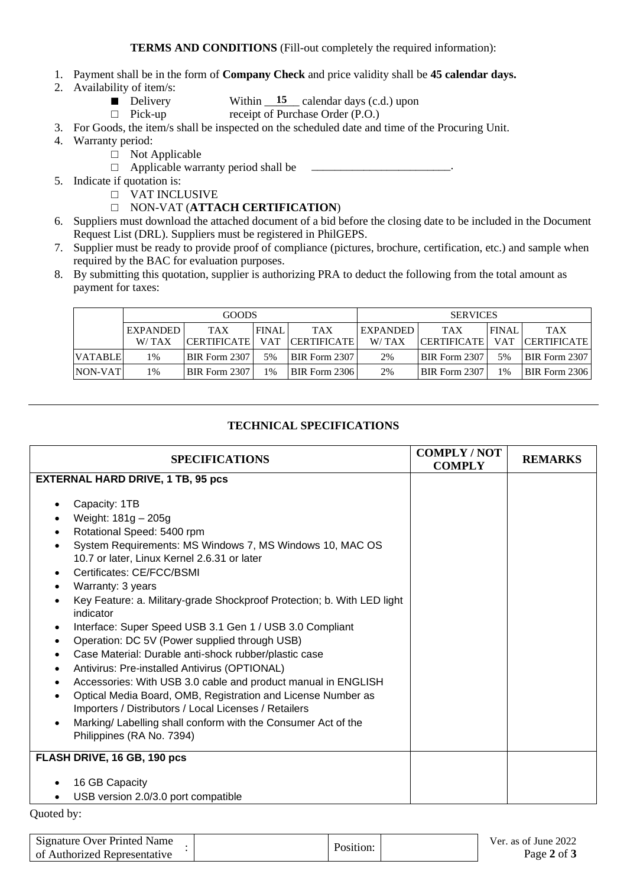- 1. Payment shall be in the form of **Company Check** and price validity shall be **45 calendar days.**
- 2. Availability of item/s:
	- Delivery Within  $\frac{15}{2}$  calendar days (c.d.) upon
	- □ Pick-up receipt of Purchase Order (P.O.)

3. For Goods, the item/s shall be inspected on the scheduled date and time of the Procuring Unit.

- 4. Warranty period:
	- □ Not Applicable
	- $\Box$  Applicable warranty period shall be
- 5. Indicate if quotation is:
	- □ VAT INCLUSIVE
	- □ NON-VAT (**ATTACH CERTIFICATION**)
- 6. Suppliers must download the attached document of a bid before the closing date to be included in the Document Request List (DRL). Suppliers must be registered in PhilGEPS.
- 7. Supplier must be ready to provide proof of compliance (pictures, brochure, certification, etc.) and sample when required by the BAC for evaluation purposes.
- 8. By submitting this quotation, supplier is authorizing PRA to deduct the following from the total amount as payment for taxes:

| <b>GOODS</b>   |                 |                      | <b>SERVICES</b> |               |                 |                    |              |                        |
|----------------|-----------------|----------------------|-----------------|---------------|-----------------|--------------------|--------------|------------------------|
|                | <b>EXPANDED</b> | <b>TAX</b>           | <b>FINAL</b>    | <b>TAX</b>    | <b>EXPANDED</b> | <b>TAX</b>         | <b>FINAL</b> | <b>TAX</b>             |
|                | W/TAX           | <b>CERTIFICATE</b>   | <b>VAT</b>      | CERTIFICATE   | W/TAX           | <b>CERTIFICATE</b> |              | <b>VAT CERTIFICATE</b> |
| <b>VATABLE</b> | 1%              | BIR Form 2307        | 5%              | BIR Form 2307 | 2%              | BIR Form 2307      | 5%           | <b>BIR Form 2307</b>   |
| NON-VAT        | 1%              | <b>BIR Form 2307</b> | $1\%$           | BIR Form 2306 | 2%              | BIR Form 2307      | 1%           | <b>BIR Form 2306</b>   |

# **TECHNICAL SPECIFICATIONS**

| <b>SPECIFICATIONS</b>                                                                                                                                                                                                                                                                                                                                                                                                                                                                                                                                                                                                                                                                                                                                                                                                                  | <b>COMPLY/NOT</b><br><b>COMPLY</b> | <b>REMARKS</b> |
|----------------------------------------------------------------------------------------------------------------------------------------------------------------------------------------------------------------------------------------------------------------------------------------------------------------------------------------------------------------------------------------------------------------------------------------------------------------------------------------------------------------------------------------------------------------------------------------------------------------------------------------------------------------------------------------------------------------------------------------------------------------------------------------------------------------------------------------|------------------------------------|----------------|
| <b>EXTERNAL HARD DRIVE, 1 TB, 95 pcs</b>                                                                                                                                                                                                                                                                                                                                                                                                                                                                                                                                                                                                                                                                                                                                                                                               |                                    |                |
| Capacity: 1TB<br>Weight: 181g - 205g<br>Rotational Speed: 5400 rpm<br>System Requirements: MS Windows 7, MS Windows 10, MAC OS<br>10.7 or later, Linux Kernel 2.6.31 or later<br>Certificates: CE/FCC/BSMI<br>Warranty: 3 years<br>Key Feature: a. Military-grade Shockproof Protection; b. With LED light<br>indicator<br>Interface: Super Speed USB 3.1 Gen 1 / USB 3.0 Compliant<br>Operation: DC 5V (Power supplied through USB)<br>Case Material: Durable anti-shock rubber/plastic case<br>Antivirus: Pre-installed Antivirus (OPTIONAL)<br>Accessories: With USB 3.0 cable and product manual in ENGLISH<br>Optical Media Board, OMB, Registration and License Number as<br>Importers / Distributors / Local Licenses / Retailers<br>Marking/ Labelling shall conform with the Consumer Act of the<br>Philippines (RA No. 7394) |                                    |                |
| FLASH DRIVE, 16 GB, 190 pcs                                                                                                                                                                                                                                                                                                                                                                                                                                                                                                                                                                                                                                                                                                                                                                                                            |                                    |                |
| 16 GB Capacity<br>USB version 2.0/3.0 port compatible                                                                                                                                                                                                                                                                                                                                                                                                                                                                                                                                                                                                                                                                                                                                                                                  |                                    |                |

Quoted by:

| Signature Over Printed Name  | Position: | Ver. as of June 2022<br>Page 2 of 3 |
|------------------------------|-----------|-------------------------------------|
| of Authorized Representative |           |                                     |